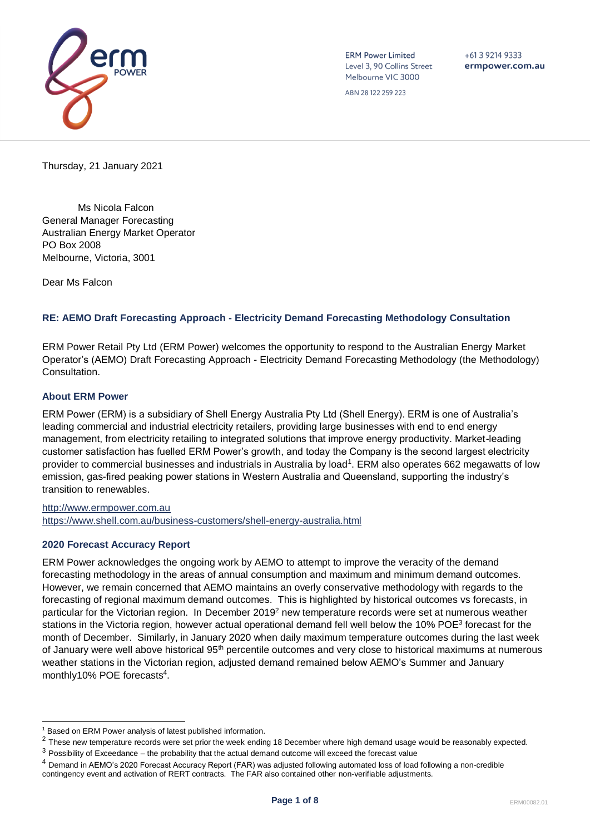

**ERM Power Limited** Level 3, 90 Collins Street Melbourne VIC 3000

 $+61392149333$ ermpower.com.au

ABN 28 122 259 223

Thursday, 21 January 2021

Ms Nicola Falcon General Manager Forecasting Australian Energy Market Operator PO Box 2008 Melbourne, Victoria, 3001

Dear Ms Falcon

# **RE: AEMO Draft Forecasting Approach - Electricity Demand Forecasting Methodology Consultation**

ERM Power Retail Pty Ltd (ERM Power) welcomes the opportunity to respond to the Australian Energy Market Operator's (AEMO) Draft Forecasting Approach - Electricity Demand Forecasting Methodology (the Methodology) Consultation.

### **About ERM Power**

ERM Power (ERM) is a subsidiary of Shell Energy Australia Pty Ltd (Shell Energy). ERM is one of Australia's leading commercial and industrial electricity retailers, providing large businesses with end to end energy management, from electricity retailing to integrated solutions that improve energy productivity. Market-leading customer satisfaction has fuelled ERM Power's growth, and today the Company is the second largest electricity provider to commercial businesses and industrials in Australia by load<sup>1</sup>. ERM also operates 662 megawatts of low emission, gas-fired peaking power stations in Western Australia and Queensland, supporting the industry's transition to renewables.

[http://www.ermpower.com.au](http://www.ermpower.com.au/) <https://www.shell.com.au/business-customers/shell-energy-australia.html>

### **2020 Forecast Accuracy Report**

ERM Power acknowledges the ongoing work by AEMO to attempt to improve the veracity of the demand forecasting methodology in the areas of annual consumption and maximum and minimum demand outcomes. However, we remain concerned that AEMO maintains an overly conservative methodology with regards to the forecasting of regional maximum demand outcomes. This is highlighted by historical outcomes vs forecasts, in particular for the Victorian region. In December 2019<sup>2</sup> new temperature records were set at numerous weather stations in the Victoria region, however actual operational demand fell well below the 10% POE<sup>3</sup> forecast for the month of December. Similarly, in January 2020 when daily maximum temperature outcomes during the last week of January were well above historical 95<sup>th</sup> percentile outcomes and very close to historical maximums at numerous weather stations in the Victorian region, adjusted demand remained below AEMO's Summer and January monthly10% POE forecasts<sup>4</sup>.

l <sup>1</sup> Based on ERM Power analysis of latest published information.

 $2$  These new temperature records were set prior the week ending 18 December where high demand usage would be reasonably expected.

 $3$  Possibility of Exceedance – the probability that the actual demand outcome will exceed the forecast value

<sup>4</sup> Demand in AEMO's 2020 Forecast Accuracy Report (FAR) was adjusted following automated loss of load following a non-credible contingency event and activation of RERT contracts. The FAR also contained other non-verifiable adjustments.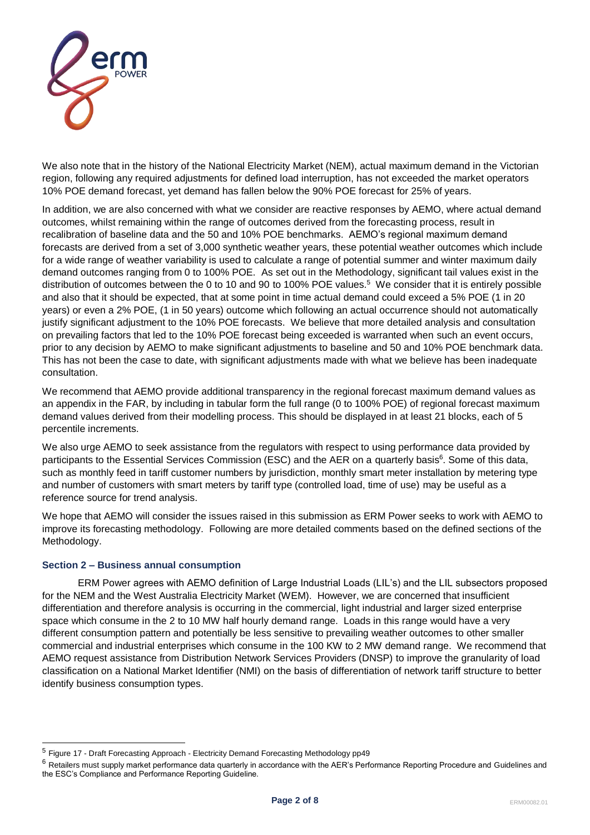

We also note that in the history of the National Electricity Market (NEM), actual maximum demand in the Victorian region, following any required adjustments for defined load interruption, has not exceeded the market operators 10% POE demand forecast, yet demand has fallen below the 90% POE forecast for 25% of years.

In addition, we are also concerned with what we consider are reactive responses by AEMO, where actual demand outcomes, whilst remaining within the range of outcomes derived from the forecasting process, result in recalibration of baseline data and the 50 and 10% POE benchmarks. AEMO's regional maximum demand forecasts are derived from a set of 3,000 synthetic weather years, these potential weather outcomes which include for a wide range of weather variability is used to calculate a range of potential summer and winter maximum daily demand outcomes ranging from 0 to 100% POE. As set out in the Methodology, significant tail values exist in the distribution of outcomes between the 0 to 10 and 90 to 100% POE values.<sup>5</sup> We consider that it is entirely possible and also that it should be expected, that at some point in time actual demand could exceed a 5% POE (1 in 20 years) or even a 2% POE, (1 in 50 years) outcome which following an actual occurrence should not automatically justify significant adjustment to the 10% POE forecasts. We believe that more detailed analysis and consultation on prevailing factors that led to the 10% POE forecast being exceeded is warranted when such an event occurs, prior to any decision by AEMO to make significant adjustments to baseline and 50 and 10% POE benchmark data. This has not been the case to date, with significant adjustments made with what we believe has been inadequate consultation.

We recommend that AEMO provide additional transparency in the regional forecast maximum demand values as an appendix in the FAR, by including in tabular form the full range (0 to 100% POE) of regional forecast maximum demand values derived from their modelling process. This should be displayed in at least 21 blocks, each of 5 percentile increments.

We also urge AEMO to seek assistance from the regulators with respect to using performance data provided by participants to the Essential Services Commission (ESC) and the AER on a quarterly basis<sup>6</sup>. Some of this data, such as monthly feed in tariff customer numbers by jurisdiction, monthly smart meter installation by metering type and number of customers with smart meters by tariff type (controlled load, time of use) may be useful as a reference source for trend analysis.

We hope that AEMO will consider the issues raised in this submission as ERM Power seeks to work with AEMO to improve its forecasting methodology. Following are more detailed comments based on the defined sections of the Methodology.

### **Section 2 – Business annual consumption**

l

ERM Power agrees with AEMO definition of Large Industrial Loads (LIL's) and the LIL subsectors proposed for the NEM and the West Australia Electricity Market (WEM). However, we are concerned that insufficient differentiation and therefore analysis is occurring in the commercial, light industrial and larger sized enterprise space which consume in the 2 to 10 MW half hourly demand range. Loads in this range would have a very different consumption pattern and potentially be less sensitive to prevailing weather outcomes to other smaller commercial and industrial enterprises which consume in the 100 KW to 2 MW demand range. We recommend that AEMO request assistance from Distribution Network Services Providers (DNSP) to improve the granularity of load classification on a National Market Identifier (NMI) on the basis of differentiation of network tariff structure to better identify business consumption types.

<sup>5</sup> Figure 17 - Draft Forecasting Approach - Electricity Demand Forecasting Methodology pp49

 $6$  Retailers must supply market performance data quarterly in accordance with the AER's Performance Reporting Procedure and Guidelines and the ESC's Compliance and Performance Reporting Guideline.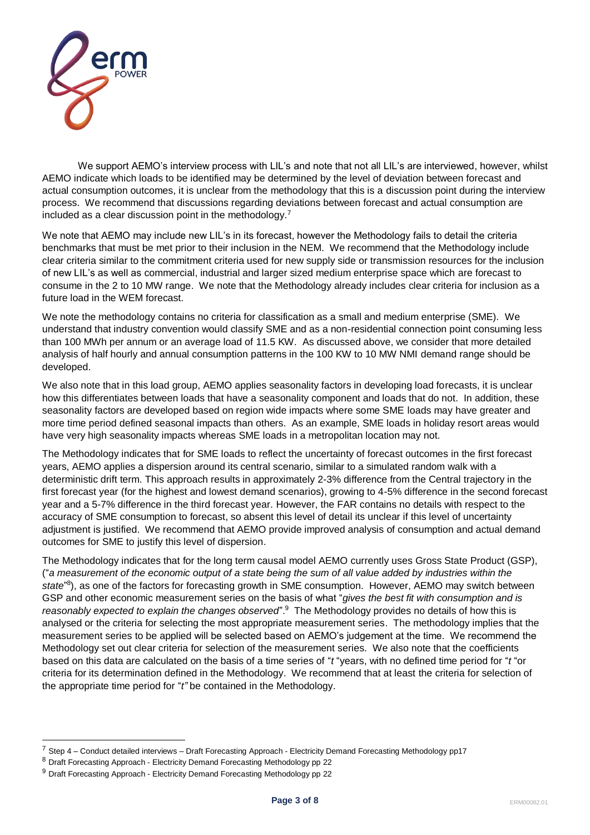

We support AEMO's interview process with LIL's and note that not all LIL's are interviewed, however, whilst AEMO indicate which loads to be identified may be determined by the level of deviation between forecast and actual consumption outcomes, it is unclear from the methodology that this is a discussion point during the interview process. We recommend that discussions regarding deviations between forecast and actual consumption are included as a clear discussion point in the methodology.<sup>7</sup>

We note that AEMO may include new LIL's in its forecast, however the Methodology fails to detail the criteria benchmarks that must be met prior to their inclusion in the NEM. We recommend that the Methodology include clear criteria similar to the commitment criteria used for new supply side or transmission resources for the inclusion of new LIL's as well as commercial, industrial and larger sized medium enterprise space which are forecast to consume in the 2 to 10 MW range. We note that the Methodology already includes clear criteria for inclusion as a future load in the WEM forecast.

We note the methodology contains no criteria for classification as a small and medium enterprise (SME). We understand that industry convention would classify SME and as a non-residential connection point consuming less than 100 MWh per annum or an average load of 11.5 KW. As discussed above, we consider that more detailed analysis of half hourly and annual consumption patterns in the 100 KW to 10 MW NMI demand range should be developed.

We also note that in this load group, AEMO applies seasonality factors in developing load forecasts, it is unclear how this differentiates between loads that have a seasonality component and loads that do not. In addition, these seasonality factors are developed based on region wide impacts where some SME loads may have greater and more time period defined seasonal impacts than others. As an example, SME loads in holiday resort areas would have very high seasonality impacts whereas SME loads in a metropolitan location may not.

The Methodology indicates that for SME loads to reflect the uncertainty of forecast outcomes in the first forecast years, AEMO applies a dispersion around its central scenario, similar to a simulated random walk with a deterministic drift term. This approach results in approximately 2-3% difference from the Central trajectory in the first forecast year (for the highest and lowest demand scenarios), growing to 4-5% difference in the second forecast year and a 5-7% difference in the third forecast year. However, the FAR contains no details with respect to the accuracy of SME consumption to forecast, so absent this level of detail its unclear if this level of uncertainty adjustment is justified. We recommend that AEMO provide improved analysis of consumption and actual demand outcomes for SME to justify this level of dispersion.

The Methodology indicates that for the long term causal model AEMO currently uses Gross State Product (GSP), ("*a measurement of the economic output of a state being the sum of all value added by industries within the*  state<sup>"8</sup>), as one of the factors for forecasting growth in SME consumption. However, AEMO may switch between GSP and other economic measurement series on the basis of what "*gives the best fit with consumption and is*  reasonably expected to explain the changes observed".<sup>9</sup> The Methodology provides no details of how this is analysed or the criteria for selecting the most appropriate measurement series. The methodology implies that the measurement series to be applied will be selected based on AEMO's judgement at the time. We recommend the Methodology set out clear criteria for selection of the measurement series. We also note that the coefficients based on this data are calculated on the basis of a time series of "*t* "years, with no defined time period for "*t* "or criteria for its determination defined in the Methodology. We recommend that at least the criteria for selection of the appropriate time period for "*t"* be contained in the Methodology.

l

 $7$  Step 4 – Conduct detailed interviews – Draft Forecasting Approach - Electricity Demand Forecasting Methodology pp17

<sup>&</sup>lt;sup>8</sup> Draft Forecasting Approach - Electricity Demand Forecasting Methodology pp 22

 $9$  Draft Forecasting Approach - Electricity Demand Forecasting Methodology pp 22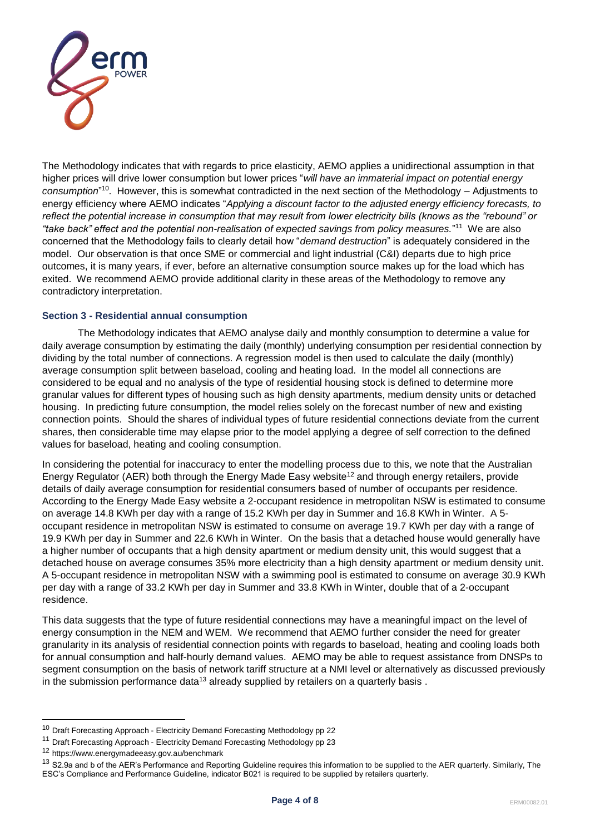

The Methodology indicates that with regards to price elasticity, AEMO applies a unidirectional assumption in that higher prices will drive lower consumption but lower prices "*will have an immaterial impact on potential energy consumption*" <sup>10</sup>. However, this is somewhat contradicted in the next section of the Methodology – Adjustments to energy efficiency where AEMO indicates "*Applying a discount factor to the adjusted energy efficiency forecasts, to reflect the potential increase in consumption that may result from lower electricity bills (knows as the "rebound" or "take back" effect and the potential non-realisation of expected savings from policy measures.*" 11 We are also concerned that the Methodology fails to clearly detail how "*demand destruction*" is adequately considered in the model. Our observation is that once SME or commercial and light industrial (C&I) departs due to high price outcomes, it is many years, if ever, before an alternative consumption source makes up for the load which has exited. We recommend AEMO provide additional clarity in these areas of the Methodology to remove any contradictory interpretation.

### **Section 3 - Residential annual consumption**

The Methodology indicates that AEMO analyse daily and monthly consumption to determine a value for daily average consumption by estimating the daily (monthly) underlying consumption per residential connection by dividing by the total number of connections. A regression model is then used to calculate the daily (monthly) average consumption split between baseload, cooling and heating load. In the model all connections are considered to be equal and no analysis of the type of residential housing stock is defined to determine more granular values for different types of housing such as high density apartments, medium density units or detached housing. In predicting future consumption, the model relies solely on the forecast number of new and existing connection points. Should the shares of individual types of future residential connections deviate from the current shares, then considerable time may elapse prior to the model applying a degree of self correction to the defined values for baseload, heating and cooling consumption.

In considering the potential for inaccuracy to enter the modelling process due to this, we note that the Australian Energy Regulator (AER) both through the Energy Made Easy website<sup>12</sup> and through energy retailers, provide details of daily average consumption for residential consumers based of number of occupants per residence. According to the Energy Made Easy website a 2-occupant residence in metropolitan NSW is estimated to consume on average 14.8 KWh per day with a range of 15.2 KWh per day in Summer and 16.8 KWh in Winter. A 5 occupant residence in metropolitan NSW is estimated to consume on average 19.7 KWh per day with a range of 19.9 KWh per day in Summer and 22.6 KWh in Winter. On the basis that a detached house would generally have a higher number of occupants that a high density apartment or medium density unit, this would suggest that a detached house on average consumes 35% more electricity than a high density apartment or medium density unit. A 5-occupant residence in metropolitan NSW with a swimming pool is estimated to consume on average 30.9 KWh per day with a range of 33.2 KWh per day in Summer and 33.8 KWh in Winter, double that of a 2-occupant residence.

This data suggests that the type of future residential connections may have a meaningful impact on the level of energy consumption in the NEM and WEM. We recommend that AEMO further consider the need for greater granularity in its analysis of residential connection points with regards to baseload, heating and cooling loads both for annual consumption and half-hourly demand values. AEMO may be able to request assistance from DNSPs to segment consumption on the basis of network tariff structure at a NMI level or alternatively as discussed previously in the submission performance data<sup>13</sup> already supplied by retailers on a quarterly basis .

l

<sup>&</sup>lt;sup>10</sup> Draft Forecasting Approach - Electricity Demand Forecasting Methodology pp 22

<sup>&</sup>lt;sup>11</sup> Draft Forecasting Approach - Electricity Demand Forecasting Methodology pp 23

<sup>12</sup> https://www.energymadeeasy.gov.au/benchmark

<sup>&</sup>lt;sup>13</sup> S2.9a and b of the AER's Performance and Reporting Guideline requires this information to be supplied to the AER quarterly. Similarly, The ESC's Compliance and Performance Guideline, indicator B021 is required to be supplied by retailers quarterly.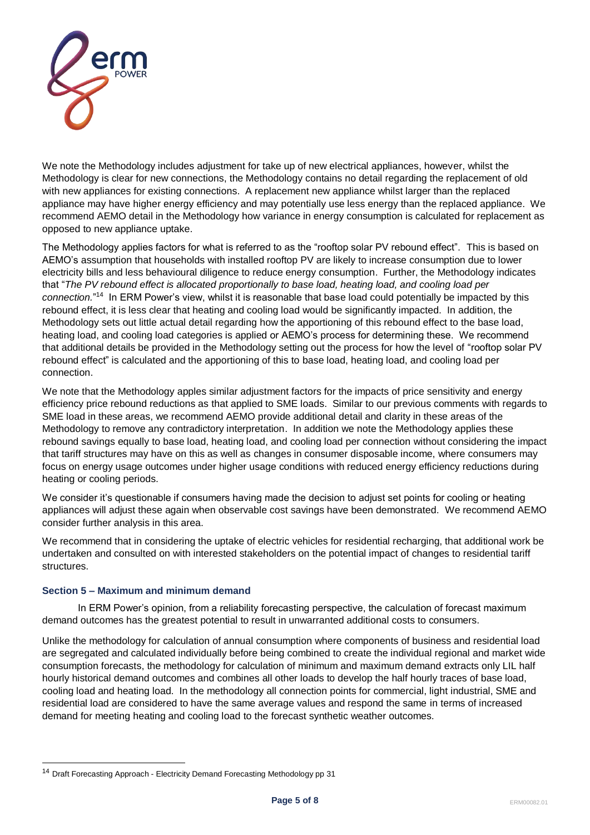

We note the Methodology includes adjustment for take up of new electrical appliances, however, whilst the Methodology is clear for new connections, the Methodology contains no detail regarding the replacement of old with new appliances for existing connections. A replacement new appliance whilst larger than the replaced appliance may have higher energy efficiency and may potentially use less energy than the replaced appliance. We recommend AEMO detail in the Methodology how variance in energy consumption is calculated for replacement as opposed to new appliance uptake.

The Methodology applies factors for what is referred to as the "rooftop solar PV rebound effect". This is based on AEMO's assumption that households with installed rooftop PV are likely to increase consumption due to lower electricity bills and less behavioural diligence to reduce energy consumption. Further, the Methodology indicates that "*The PV rebound effect is allocated proportionally to base load, heating load, and cooling load per*  connection."<sup>14</sup> In ERM Power's view, whilst it is reasonable that base load could potentially be impacted by this rebound effect, it is less clear that heating and cooling load would be significantly impacted. In addition, the Methodology sets out little actual detail regarding how the apportioning of this rebound effect to the base load, heating load, and cooling load categories is applied or AEMO's process for determining these. We recommend that additional details be provided in the Methodology setting out the process for how the level of "rooftop solar PV rebound effect" is calculated and the apportioning of this to base load, heating load, and cooling load per connection.

We note that the Methodology apples similar adjustment factors for the impacts of price sensitivity and energy efficiency price rebound reductions as that applied to SME loads. Similar to our previous comments with regards to SME load in these areas, we recommend AEMO provide additional detail and clarity in these areas of the Methodology to remove any contradictory interpretation. In addition we note the Methodology applies these rebound savings equally to base load, heating load, and cooling load per connection without considering the impact that tariff structures may have on this as well as changes in consumer disposable income, where consumers may focus on energy usage outcomes under higher usage conditions with reduced energy efficiency reductions during heating or cooling periods.

We consider it's questionable if consumers having made the decision to adjust set points for cooling or heating appliances will adjust these again when observable cost savings have been demonstrated. We recommend AEMO consider further analysis in this area.

We recommend that in considering the uptake of electric vehicles for residential recharging, that additional work be undertaken and consulted on with interested stakeholders on the potential impact of changes to residential tariff **structures** 

## **Section 5 – Maximum and minimum demand**

l

In ERM Power's opinion, from a reliability forecasting perspective, the calculation of forecast maximum demand outcomes has the greatest potential to result in unwarranted additional costs to consumers.

Unlike the methodology for calculation of annual consumption where components of business and residential load are segregated and calculated individually before being combined to create the individual regional and market wide consumption forecasts, the methodology for calculation of minimum and maximum demand extracts only LIL half hourly historical demand outcomes and combines all other loads to develop the half hourly traces of base load, cooling load and heating load. In the methodology all connection points for commercial, light industrial, SME and residential load are considered to have the same average values and respond the same in terms of increased demand for meeting heating and cooling load to the forecast synthetic weather outcomes.

<sup>&</sup>lt;sup>14</sup> Draft Forecasting Approach - Electricity Demand Forecasting Methodology pp 31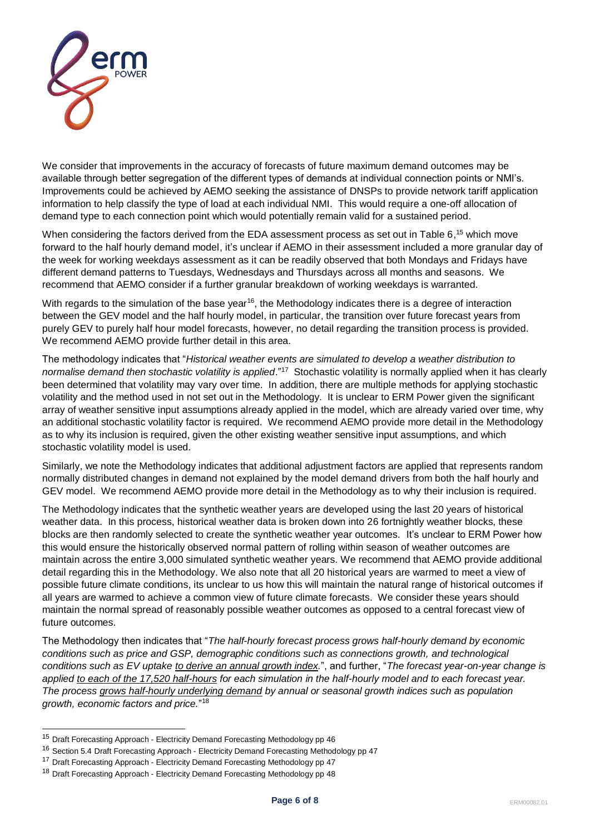

We consider that improvements in the accuracy of forecasts of future maximum demand outcomes may be available through better segregation of the different types of demands at individual connection points or NMI's. Improvements could be achieved by AEMO seeking the assistance of DNSPs to provide network tariff application information to help classify the type of load at each individual NMI. This would require a one-off allocation of demand type to each connection point which would potentially remain valid for a sustained period.

When considering the factors derived from the EDA assessment process as set out in Table 6,<sup>15</sup> which move forward to the half hourly demand model, it's unclear if AEMO in their assessment included a more granular day of the week for working weekdays assessment as it can be readily observed that both Mondays and Fridays have different demand patterns to Tuesdays, Wednesdays and Thursdays across all months and seasons. We recommend that AEMO consider if a further granular breakdown of working weekdays is warranted.

With regards to the simulation of the base year<sup>16</sup>, the Methodology indicates there is a degree of interaction between the GEV model and the half hourly model, in particular, the transition over future forecast years from purely GEV to purely half hour model forecasts, however, no detail regarding the transition process is provided. We recommend AEMO provide further detail in this area.

The methodology indicates that "*Historical weather events are simulated to develop a weather distribution to*  normalise demand then stochastic volatility is applied."<sup>17</sup> Stochastic volatility is normally applied when it has clearly been determined that volatility may vary over time. In addition, there are multiple methods for applying stochastic volatility and the method used in not set out in the Methodology. It is unclear to ERM Power given the significant array of weather sensitive input assumptions already applied in the model, which are already varied over time, why an additional stochastic volatility factor is required. We recommend AEMO provide more detail in the Methodology as to why its inclusion is required, given the other existing weather sensitive input assumptions, and which stochastic volatility model is used.

Similarly, we note the Methodology indicates that additional adjustment factors are applied that represents random normally distributed changes in demand not explained by the model demand drivers from both the half hourly and GEV model. We recommend AEMO provide more detail in the Methodology as to why their inclusion is required.

The Methodology indicates that the synthetic weather years are developed using the last 20 years of historical weather data. In this process, historical weather data is broken down into 26 fortnightly weather blocks, these blocks are then randomly selected to create the synthetic weather year outcomes. It's unclear to ERM Power how this would ensure the historically observed normal pattern of rolling within season of weather outcomes are maintain across the entire 3,000 simulated synthetic weather years. We recommend that AEMO provide additional detail regarding this in the Methodology. We also note that all 20 historical years are warmed to meet a view of possible future climate conditions, its unclear to us how this will maintain the natural range of historical outcomes if all years are warmed to achieve a common view of future climate forecasts. We consider these years should maintain the normal spread of reasonably possible weather outcomes as opposed to a central forecast view of future outcomes.

The Methodology then indicates that "*The half-hourly forecast process grows half-hourly demand by economic conditions such as price and GSP, demographic conditions such as connections growth, and technological conditions such as EV uptake to derive an annual growth index.*", and further, "*The forecast year-on-year change is applied to each of the 17,520 half-hours for each simulation in the half-hourly model and to each forecast year. The process grows half-hourly underlying demand by annual or seasonal growth indices such as population growth, economic factors and price.*" 18

l

<sup>&</sup>lt;sup>15</sup> Draft Forecasting Approach - Electricity Demand Forecasting Methodology pp 46

<sup>&</sup>lt;sup>16</sup> Section 5.4 Draft Forecasting Approach - Electricity Demand Forecasting Methodology pp 47

<sup>&</sup>lt;sup>17</sup> Draft Forecasting Approach - Electricity Demand Forecasting Methodology pp 47

<sup>&</sup>lt;sup>18</sup> Draft Forecasting Approach - Electricity Demand Forecasting Methodology pp 48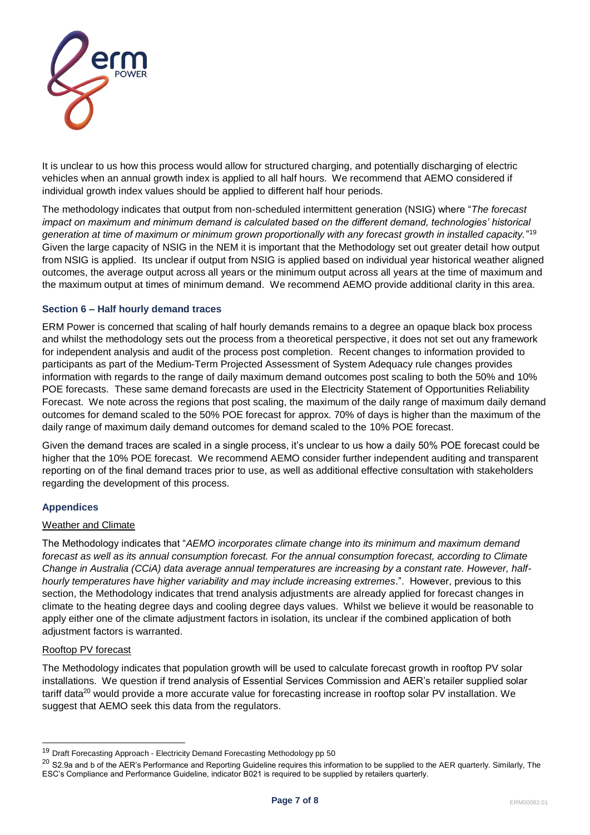

It is unclear to us how this process would allow for structured charging, and potentially discharging of electric vehicles when an annual growth index is applied to all half hours. We recommend that AEMO considered if individual growth index values should be applied to different half hour periods.

The methodology indicates that output from non-scheduled intermittent generation (NSIG) where "*The forecast impact on maximum and minimum demand is calculated based on the different demand, technologies' historical generation at time of maximum or minimum grown proportionally with any forecast growth in installed capacity.*" 19 Given the large capacity of NSIG in the NEM it is important that the Methodology set out greater detail how output from NSIG is applied. Its unclear if output from NSIG is applied based on individual year historical weather aligned outcomes, the average output across all years or the minimum output across all years at the time of maximum and the maximum output at times of minimum demand. We recommend AEMO provide additional clarity in this area.

### **Section 6 – Half hourly demand traces**

ERM Power is concerned that scaling of half hourly demands remains to a degree an opaque black box process and whilst the methodology sets out the process from a theoretical perspective, it does not set out any framework for independent analysis and audit of the process post completion. Recent changes to information provided to participants as part of the Medium-Term Projected Assessment of System Adequacy rule changes provides information with regards to the range of daily maximum demand outcomes post scaling to both the 50% and 10% POE forecasts. These same demand forecasts are used in the Electricity Statement of Opportunities Reliability Forecast. We note across the regions that post scaling, the maximum of the daily range of maximum daily demand outcomes for demand scaled to the 50% POE forecast for approx. 70% of days is higher than the maximum of the daily range of maximum daily demand outcomes for demand scaled to the 10% POE forecast.

Given the demand traces are scaled in a single process, it's unclear to us how a daily 50% POE forecast could be higher that the 10% POE forecast. We recommend AEMO consider further independent auditing and transparent reporting on of the final demand traces prior to use, as well as additional effective consultation with stakeholders regarding the development of this process.

### **Appendices**

### Weather and Climate

The Methodology indicates that "*AEMO incorporates climate change into its minimum and maximum demand forecast as well as its annual consumption forecast. For the annual consumption forecast, according to Climate Change in Australia (CCiA) data average annual temperatures are increasing by a constant rate. However, halfhourly temperatures have higher variability and may include increasing extremes*.". However, previous to this section, the Methodology indicates that trend analysis adjustments are already applied for forecast changes in climate to the heating degree days and cooling degree days values. Whilst we believe it would be reasonable to apply either one of the climate adjustment factors in isolation, its unclear if the combined application of both adjustment factors is warranted.

### Rooftop PV forecast

l

The Methodology indicates that population growth will be used to calculate forecast growth in rooftop PV solar installations. We question if trend analysis of Essential Services Commission and AER's retailer supplied solar tariff data<sup>20</sup> would provide a more accurate value for forecasting increase in rooftop solar PV installation. We suggest that AEMO seek this data from the regulators.

<sup>&</sup>lt;sup>19</sup> Draft Forecasting Approach - Electricity Demand Forecasting Methodology pp 50

<sup>&</sup>lt;sup>20</sup> S2.9a and b of the AER's Performance and Reporting Guideline requires this information to be supplied to the AER quarterly. Similarly, The ESC's Compliance and Performance Guideline, indicator B021 is required to be supplied by retailers quarterly.